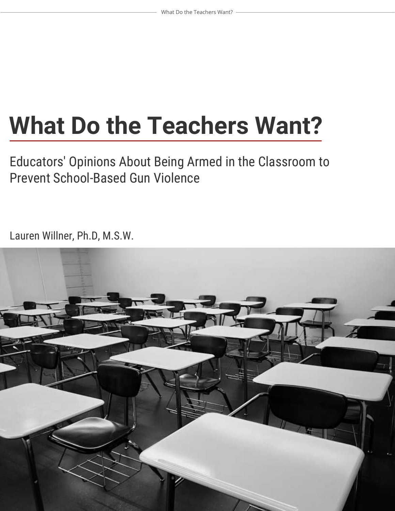# **What Do the Teachers Want?**

Educators' Opinions About Being Armed in the Classroom to Prevent School-Based Gun Violence

Lauren Willner, Ph.D, M.S.W.

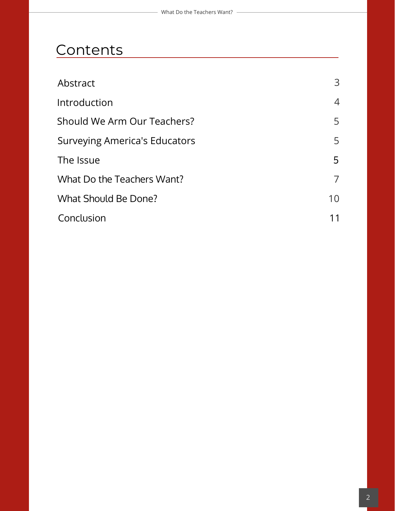### **Contents**

| Abstract                      | 3              |
|-------------------------------|----------------|
| Introduction                  | $\overline{4}$ |
| Should We Arm Our Teachers?   | 5              |
| Surveying America's Educators | 5              |
| The Issue                     | 5              |
| What Do the Teachers Want?    |                |
| <b>What Should Be Done?</b>   | 10             |
| Conclusion                    | 11             |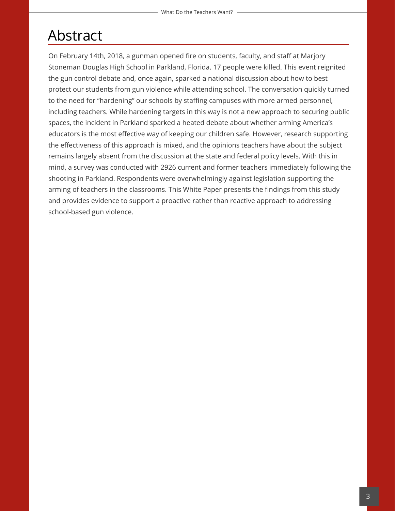### Abstract

On February 14th, 2018, a gunman opened fire on students, faculty, and staff at Marjory Stoneman Douglas High School in Parkland, Florida. 17 people were killed. This event reignited the gun control debate and, once again, sparked a national discussion about how to best protect our students from gun violence while attending school. The conversation quickly turned to the need for "hardening" our schools by staffing campuses with more armed personnel, including teachers. While hardening targets in this way is not a new approach to securing public spaces, the incident in Parkland sparked a heated debate about whether arming America's educators is the most effective way of keeping our children safe. However, research supporting the effectiveness of this approach is mixed, and the opinions teachers have about the subject remains largely absent from the discussion at the state and federal policy levels. With this in mind, a survey was conducted with 2926 current and former teachers immediately following the shooting in Parkland. Respondents were overwhelmingly against legislation supporting the arming of teachers in the classrooms. This White Paper presents the findings from this study and provides evidence to support a proactive rather than reactive approach to addressing school-based gun violence.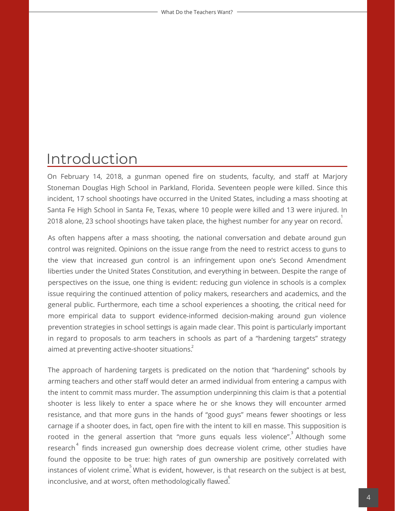### Introduction

On February 14, 2018, a gunman opened fire on students, faculty, and staff at Marjory Stoneman Douglas High School in Parkland, Florida. Seventeen people were killed. Since this incident, 17 school shootings have occurred in the United States, including a mass shooting at Santa Fe High School in Santa Fe, Texas, where 10 people were killed and 13 were injured. In 2018 alone, 23 school shootings have taken place, the highest number for any year on record. 1

As often happens after a mass shooting, the national conversation and debate around gun control was reignited. Opinions on the issue range from the need to restrict access to guns to the view that increased gun control is an infringement upon one's Second Amendment liberties under the United States Constitution, and everything in between. Despite the range of perspectives on the issue, one thing is evident: reducing gun violence in schools is a complex issue requiring the continued attention of policy makers, researchers and academics, and the general public. Furthermore, each time a school experiences a shooting, the critical need for more empirical data to support evidence-informed decision-making around gun violence prevention strategies in school settings is again made clear. This point is particularly important in regard to proposals to arm teachers in schools as part of a "hardening targets" strategy aimed at preventing active-shooter situations.<sup>2</sup>

The approach of hardening targets is predicated on the notion that "hardening" schools by arming teachers and other staff would deter an armed individual from entering a campus with the intent to commit mass murder. The assumption underpinning this claim is that a potential shooter is less likely to enter a space where he or she knows they will encounter armed resistance, and that more guns in the hands of "good guys" means fewer shootings or less carnage if a shooter does, in fact, open fire with the intent to kill en masse. This supposition is rooted in the general assertion that "more guns equals less violence". Although some research $^\mathrm{4}$  finds increased gun ownership does decrease violent crime, other studies have found the opposite to be true: high rates of gun ownership are positively correlated with instances of violent crime. What is evident, however, is that research on the subject is at best, 5 inconclusive, and at worst, often methodologically flawed $\stackrel{\text{\rm 6}}{.}$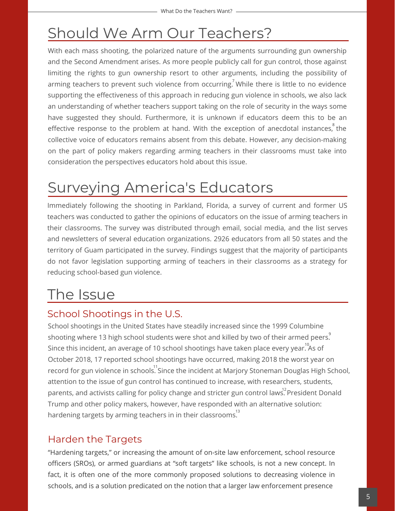### Should We Arm Our Teachers?

With each mass shooting, the polarized nature of the arguments surrounding gun ownership and the Second Amendment arises. As more people publicly call for gun control, those against limiting the rights to gun ownership resort to other arguments, including the possibility of arming teachers to prevent such violence from occurring.<sup>7</sup> While there is little to no evidence supporting the effectiveness of this approach in reducing gun violence in schools, we also lack an understanding of whether teachers support taking on the role of security in the ways some have suggested they should. Furthermore, it is unknown if educators deem this to be an effective response to the problem at hand. With the exception of anecdotal instances, $\degree$  the collective voice of educators remains absent from this debate. However, any decision-making on the part of policy makers regarding arming teachers in their classrooms must take into consideration the perspectives educators hold about this issue.

## Surveying America's Educators

Immediately following the shooting in Parkland, Florida, a survey of current and former US teachers was conducted to gather the opinions of educators on the issue of arming teachers in their classrooms. The survey was distributed through email, social media, and the list serves and newsletters of several education organizations. 2926 educators from all 50 states and the territory of Guam participated in the survey. Findings suggest that the majority of participants do not favor legislation supporting arming of teachers in their classrooms as a strategy for reducing school-based gun violence.

### The Issue

### School Shootings in the U.S.

School shootings in the United States have steadily increased since the 1999 Columbine shooting where 13 high school students were shot and killed by two of their armed peers. $\degree$ Since this incident, an average of 10 school shootings have taken place every year. $^{^{10}\!}$ As of October 2018, 17 reported school shootings have occurred, making 2018 the worst year on record for gun violence in schools. Since the incident at Marjory Stoneman Douglas High School, attention to the issue of gun control has continued to increase, with researchers, students, parents, and activists calling for policy change and stricter gun control laws. President Donald Trump and other policy makers, however, have responded with an alternative solution: hardening targets by arming teachers in in their classrooms. 13

### Harden the Targets

"Hardening targets," or increasing the amount of on-site law enforcement, school resource officers (SROs), or armed guardians at "soft targets" like schools, is not a new concept. In fact, it is often one of the more commonly proposed solutions to decreasing violence in schools, and is a solution predicated on the notion that a larger law enforcement presence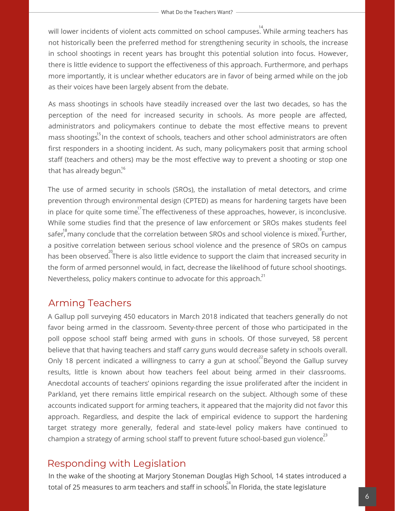will lower incidents of violent acts committed on school campuses. While arming teachers has not historically been the preferred method for strengthening security in schools, the increase in school shootings in recent years has brought this potential solution into focus. However, there is little evidence to support the effectiveness of this approach. Furthermore, and perhaps more importantly, it is unclear whether educators are in favor of being armed while on the job as their voices have been largely absent from the debate.

As mass shootings in schools have steadily increased over the last two decades, so has the perception of the need for increased security in schools. As more people are affected, administrators and policymakers continue to debate the most effective means to prevent mass shootings.<sup>15</sup> In the context of schools, teachers and other school administrators are often first responders in a shooting incident. As such, many policymakers posit that arming school staff (teachers and others) may be the most effective way to prevent a shooting or stop one that has already begun. $^{16}$ 

The use of armed security in schools (SROs), the installation of metal detectors, and crime prevention through environmental design (CPTED) as means for hardening targets have been in place for quite some time. The effectiveness of these approaches, however, is inconclusive. While some studies find that the presence of law enforcement or SROs makes students feel safer,  $^{18}$ many conclude that the correlation between SROs and school violence is mixed. Further, a positive correlation between serious school violence and the presence of SROs on campus has been observed. There is also little evidence to support the claim that increased security in the form of armed personnel would, in fact, decrease the likelihood of future school shootings. Nevertheless, policy makers continue to advocate for this approach.<sup>21</sup>

#### Arming Teachers

A Gallup poll surveying 450 educators in March 2018 indicated that teachers generally do not favor being armed in the classroom. Seventy-three percent of those who participated in the poll oppose school staff being armed with guns in schools. Of those surveyed, 58 percent believe that that having teachers and staff carry guns would decrease safety in schools overall. Only 18 percent indicated a willingness to carry a gun at school. Beyond the Gallup survey results, little is known about how teachers feel about being armed in their classrooms. Anecdotal accounts of teachers' opinions regarding the issue proliferated after the incident in Parkland, yet there remains little empirical research on the subject. Although some of these accounts indicated support for arming teachers, it appeared that the majority did not favor this approach. Regardless, and despite the lack of empirical evidence to support the hardening target strategy more generally, federal and state-level policy makers have continued to champion a strategy of arming school staff to prevent future school-based gun violence. 23

#### Responding with Legislation

In the wake of the shooting at Marjory Stoneman Douglas High School, 14 states introduced a total of 25 measures to arm teachers and staff in schools. In Florida, the state legislature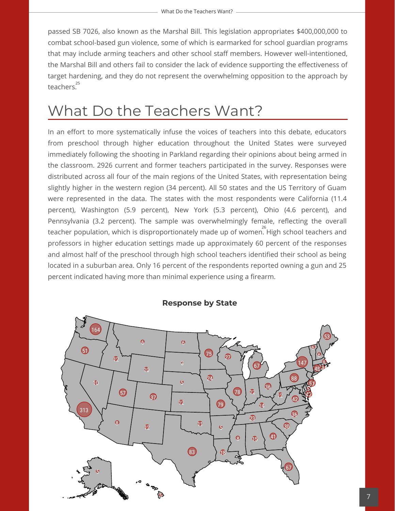passed SB 7026, also known as the Marshal Bill. This legislation appropriates \$400,000,000 to combat school-based gun violence, some of which is earmarked for school guardian programs that may include arming teachers and other school staff members. However well-intentioned, the Marshal Bill and others fail to consider the lack of evidence supporting the effectiveness of target hardening, and they do not represent the overwhelming opposition to the approach by teachers. 25

### What Do the Teachers Want?

In an effort to more systematically infuse the voices of teachers into this debate, educators from preschool through higher education throughout the United States were surveyed immediately following the shooting in Parkland regarding their opinions about being armed in the classroom. 2926 current and former teachers participated in the survey. Responses were distributed across all four of the main regions of the United States, with representation being slightly higher in the western region (34 percent). All 50 states and the US Territory of Guam were represented in the data. The states with the most respondents were California (11.4 percent), Washington (5.9 percent), New York (5.3 percent), Ohio (4.6 percent), and Pennsylvania (3.2 percent). The sample was overwhelmingly female, reflecting the overall teacher population, which is disproportionately made up of women. High school teachers and 26 professors in higher education settings made up approximately 60 percent of the responses and almost half of the preschool through high school teachers identified their school as being located in a suburban area. Only 16 percent of the respondents reported owning a gun and 25 percent indicated having more than minimal experience using a firearm.



**Response by State**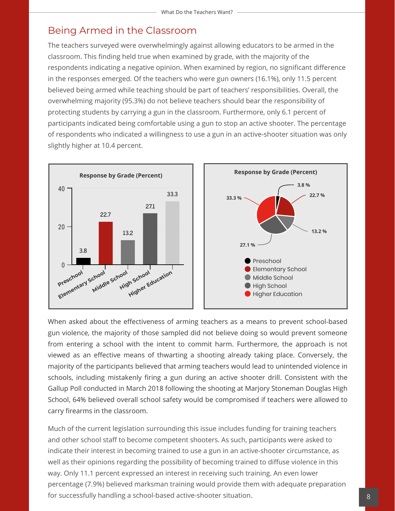#### Being Armed in the Classroom

The teachers surveyed were overwhelmingly against allowing educators to be armed in the classroom. This finding held true when examined by grade, with the majority of the respondents indicating a negative opinion. When examined by region, no significant difference in the responses emerged. Of the teachers who were gun owners (16.1%), only 11.5 percent believed being armed while teaching should be part of teachers' responsibilities. Overall, the overwhelming majority (95.3%) do not believe teachers should bear the responsibility of protecting students by carrying a gun in the classroom. Furthermore, only 6.1 percent of participants indicated being comfortable using a gun to stop an active shooter. The percentage of respondents who indicated a willingness to use a gun in an active-shooter situation was only slightly higher at 10.4 percent.



When asked about the effectiveness of arming teachers as a means to prevent school-based gun violence, the majority of those sampled did not believe doing so would prevent someone from entering a school with the intent to commit harm. Furthermore, the approach is not viewed as an effective means of thwarting a shooting already taking place. Conversely, the majority of the participants believed that arming teachers would lead to unintended violence in schools, including mistakenly firing a gun during an active shooter drill. Consistent with the Gallup Poll conducted in March 2018 following the shooting at Marjory Stoneman Douglas High School, 64% believed overall school safety would be compromised if teachers were allowed to carry firearms in the classroom.

Much of the current legislation surrounding this issue includes funding for training teachers and other school staff to become competent shooters. As such, participants were asked to indicate their interest in becoming trained to use a gun in an active-shooter circumstance, as well as their opinions regarding the possibility of becoming trained to diffuse violence in this way. Only 11.1 percent expressed an interest in receiving such training. An even lower percentage (7.9%) believed marksman training would provide them with adequate preparation for successfully handling a school-based active-shooter situation.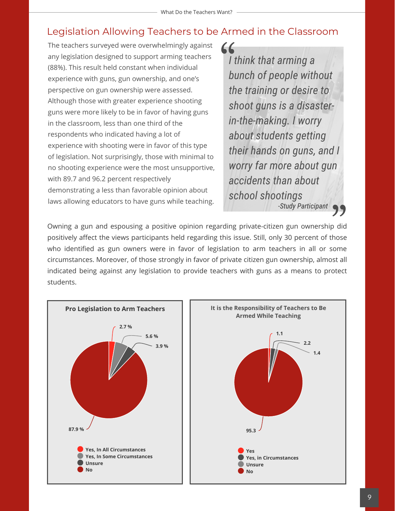#### Legislation Allowing Teachers to be Armed in the Classroom

The teachers surveyed were overwhelmingly against any legislation designed to support arming teachers (88%). This result held constant when individual experience with guns, gun ownership, and one's perspective on gun ownership were assessed. Although those with greater experience shooting guns were more likely to be in favor of having guns in the classroom, less than one third of the respondents who indicated having a lot of experience with shooting were in favor of this type of legislation. Not surprisingly, those with minimal to no shooting experience were the most unsupportive, with 89.7 and 96.2 percent respectively demonstrating a less than favorable opinion about laws allowing educators to have guns while teaching.

*I think that arming a bunch of people without the training or desire to shoot guns is a disasterin-the-making. I worry about students getting their hands on guns, and I worry far more about gun accidents than about school shootings -Study Participant*

Owning a gun and espousing a positive opinion regarding private-citizen gun ownership did positively affect the views participants held regarding this issue. Still, only 30 percent of those who identified as gun owners were in favor of legislation to arm teachers in all or some circumstances. Moreover, of those strongly in favor of private citizen gun ownership, almost all indicated being against any legislation to provide teachers with guns as a means to protect students.

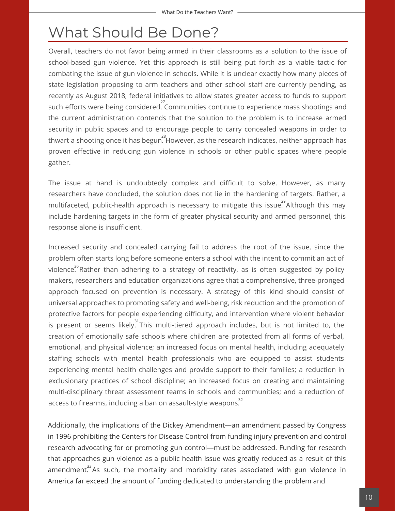### What Should Be Done?

Overall, teachers do not favor being armed in their classrooms as a solution to the issue of school-based gun violence. Yet this approach is still being put forth as a viable tactic for combating the issue of gun violence in schools. While it is unclear exactly how many pieces of state legislation proposing to arm teachers and other school staff are currently pending, as recently as August 2018, federal initiatives to allow states greater access to funds to support such efforts were being considered. Communities continue to experience mass shootings and the current administration contends that the solution to the problem is to increase armed security in public spaces and to encourage people to carry concealed weapons in order to thwart a shooting once it has begun. $^{^{28}}$ However, as the research indicates, neither approach has proven effective in reducing gun violence in schools or other public spaces where people gather.

The issue at hand is undoubtedly complex and difficult to solve. However, as many researchers have concluded, the solution does not lie in the hardening of targets. Rather, a multifaceted, public-health approach is necessary to mitigate this issue. Although this may include hardening targets in the form of greater physical security and armed personnel, this response alone is insufficient.

Increased security and concealed carrying fail to address the root of the issue, since the problem often starts long before someone enters a school with the intent to commit an act of violence. $^{\text{30}}$ Rather than adhering to a strategy of reactivity, as is often suggested by policy makers, researchers and education organizations agree that a comprehensive, three-pronged approach focused on prevention is necessary. A strategy of this kind should consist of universal approaches to promoting safety and well-being, risk reduction and the promotion of protective factors for people experiencing difficulty, and intervention where violent behavior is present or seems likely. This multi-tiered approach includes, but is not limited to, the creation of emotionally safe schools where children are protected from all forms of verbal, emotional, and physical violence; an increased focus on mental health, including adequately staffing schools with mental health professionals who are equipped to assist students experiencing mental health challenges and provide support to their families; a reduction in exclusionary practices of school discipline; an increased focus on creating and maintaining multi-disciplinary threat assessment teams in schools and communities; and a reduction of access to firearms, including a ban on assault-style weapons. $^{\text{32}}$ 

Additionally, the implications of the Dickey Amendment—an amendment passed by Congress in 1996 prohibiting the Centers for Disease Control from funding injury prevention and control research advocating for or promoting gun control—must be addressed. Funding for research that approaches gun violence as a public health issue was greatly reduced as a result of this amendment. $^{33}$ As such, the mortality and morbidity rates associated with gun violence in America far exceed the amount of funding dedicated to understanding the problem and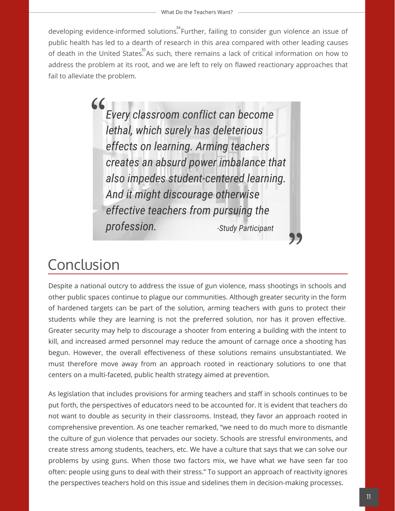developing evidence-informed solutions. Further, failing to consider gun violence an issue of public health has led to a dearth of research in this area compared with other leading causes of death in the United States. As such, there remains a lack of critical information on how to address the problem at its root, and we are left to rely on flawed reactionary approaches that fail to alleviate the problem.

> $\epsilon$ *Every classroom conflict can become lethal, which surely has deleterious effects on learning. Arming teachers creates an absurd power imbalance that also impedes student-centered learning. And it might discourage otherwise effective teachers from pursuing the profession. -Study Participant*

### Conclusion

Despite a national outcry to address the issue of gun violence, mass shootings in schools and other public spaces continue to plague our communities. Although greater security in the form of hardened targets can be part of the solution, arming teachers with guns to protect their students while they are learning is not the preferred solution, nor has it proven effective. Greater security may help to discourage a shooter from entering a building with the intent to kill, and increased armed personnel may reduce the amount of carnage once a shooting has begun. However, the overall effectiveness of these solutions remains unsubstantiated. We must therefore move away from an approach rooted in reactionary solutions to one that centers on a multi-faceted, public health strategy aimed at prevention.

As legislation that includes provisions for arming teachers and staff in schools continues to be put forth, the perspectives of educators need to be accounted for. It is evident that teachers do not want to double as security in their classrooms. Instead, they favor an approach rooted in comprehensive prevention. As one teacher remarked, "we need to do much more to dismantle the culture of gun violence that pervades our society. Schools are stressful environments, and create stress among students, teachers, etc. We have a culture that says that we can solve our problems by using guns. When those two factors mix, we have what we have seen far too often: people using guns to deal with their stress." To support an approach of reactivity ignores the perspectives teachers hold on this issue and sidelines them in decision-making processes.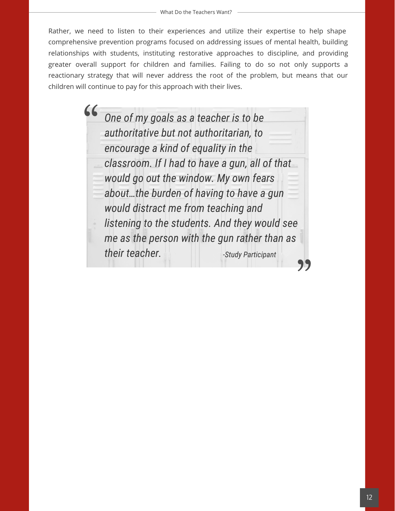Rather, we need to listen to their experiences and utilize their expertise to help shape comprehensive prevention programs focused on addressing issues of mental health, building relationships with students, instituting restorative approaches to discipline, and providing greater overall support for children and families. Failing to do so not only supports a reactionary strategy that will never address the root of the problem, but means that our children will continue to pay for this approach with their lives.

> *One of my goals as a teacher is to be authoritative but not authoritarian, to encourage a kind of equality in the classroom. If I had to have a gun, all of that would go out the window. My own fears about…the burden of having to have a gun would distract me from teaching and listening to the students. And they would see me as the person with the gun rather than as their teacher. -Study Participant*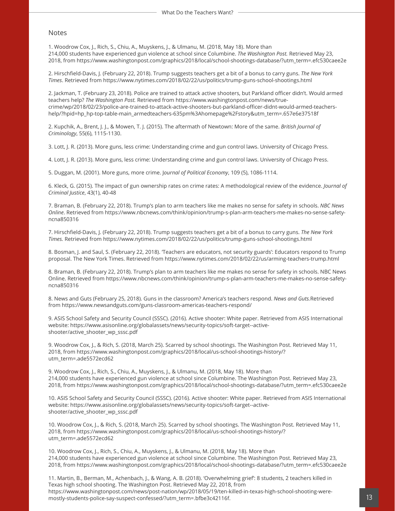#### Notes

1. Woodrow Cox, J., Rich, S., Chiu, A., Muyskens, J., & Ulmanu, M. (2018, May 18). More than 214,000 students have experienced gun violence at school since Columbine. *The Washington Post.* Retrieved May 23, 2018, from https://www.washingtonpost.com/graphics/2018/local/school-shootings-database/?utm\_term=.efc530caee2e

2. Hirschfield-Davis, J. (February 22, 2018). Trump suggests teachers get a bit of a bonus to carry guns. *The New York Times*. Retrieved from https://www.nytimes.com/2018/02/22/us/politics/trump-guns-school-shootings.html

2. Jackman, T. (February 23, 2018). Police are trained to attack active shooters, but Parkland officer didn't. Would armed teachers help? *The Washington Post.* Retrieved from https://www.washingtonpost.com/news/truecrime/wp/2018/02/23/police-are-trained-to-attack-active-shooters-but-parkland-officer-didnt-would-armed-teachershelp/?hpid=hp\_hp-top-table-main\_armedteachers-635pm%3Ahomepage%2Fstory&utm\_term=.657e6e37518f

2. Kupchik, A., Brent, J. J., & Mowen, T. J. (2015). The aftermath of Newtown: More of the same. *British Journal of Criminology*, 55(6), 1115-1130.

3. Lott, J. R. (2013). More guns, less crime: Understanding crime and gun control laws. University of Chicago Press.

4. Lott, J. R. (2013). More guns, less crime: Understanding crime and gun control laws. University of Chicago Press.

5. Duggan, M. (2001). More guns, more crime. J*ournal of Political Economy*, 109 (5), 1086-1114.

6. Kleck, G. (2015). The impact of gun ownership rates on crime rates: A methodological review of the evidence. *Journal of Criminal Justice*, 43(1), 40-48

7. Braman, B. (February 22, 2018). Trump's plan to arm teachers like me makes no sense for safety in schools. *NBC News Online*. Retrieved from https://www.nbcnews.com/think/opinion/trump-s-plan-arm-teachers-me-makes-no-sense-safetyncna850316

7. Hirschfield-Davis, J. (February 22, 2018). Trump suggests teachers get a bit of a bonus to carry guns. *The New York Times.* Retrieved from https://www.nytimes.com/2018/02/22/us/politics/trump-guns-school-shootings.html

8. Bosman, J. and Saul, S. (February 22, 2018). 'Teachers are educators, not security guards': Educators respond to Trump proposal. The New York Times. Retrieved from https://www.nytimes.com/2018/02/22/us/arming-teachers-trump.html

8. Braman, B. (February 22, 2018). Trump's plan to arm teachers like me makes no sense for safety in schools. NBC News Online. Retrieved from https://www.nbcnews.com/think/opinion/trump-s-plan-arm-teachers-me-makes-no-sense-safetyncna850316

8. News and Guts (February 25, 2018). Guns in the classroom? America's teachers respond. *News and Guts.*Retrieved from https://www.newsandguts.com/guns-classroom-americas-teachers-respond/

9. ASIS School Safety and Security Council (SSSC). (2016). Active shooter: White paper. Retrieved from ASIS International website: https://www.asisonline.org/globalassets/news/security-topics/soft-target--activeshooter/active\_shooter\_wp\_sssc.pdf

9. Woodrow Cox, J., & Rich, S. (2018, March 25). Scarred by school shootings. The Washington Post. Retrieved May 11, 2018, from https://www.washingtonpost.com/graphics/2018/local/us-school-shootings-history/? utm\_term=.ade5572ecd62

9. Woodrow Cox, J., Rich, S., Chiu, A., Muyskens, J., & Ulmanu, M. (2018, May 18). More than 214,000 students have experienced gun violence at school since Columbine. The Washington Post. Retrieved May 23, 2018, from https://www.washingtonpost.com/graphics/2018/local/school-shootings-database/?utm\_term=.efc530caee2e

10. ASIS School Safety and Security Council (SSSC). (2016). Active shooter: White paper. Retrieved from ASIS International website: https://www.asisonline.org/globalassets/news/security-topics/soft-target--activeshooter/active\_shooter\_wp\_sssc.pdf

10. Woodrow Cox, J., & Rich, S. (2018, March 25). Scarred by school shootings. The Washington Post. Retrieved May 11, 2018, from https://www.washingtonpost.com/graphics/2018/local/us-school-shootings-history/? utm\_term=.ade5572ecd62

10. Woodrow Cox, J., Rich, S., Chiu, A., Muyskens, J., & Ulmanu, M. (2018, May 18). More than 214,000 students have experienced gun violence at school since Columbine. The Washington Post. Retrieved May 23, 2018, from https://www.washingtonpost.com/graphics/2018/local/school-shootings-database/?utm\_term=.efc530caee2e

11. Martin, B., Berman, M., Achenbach, J., & Wang, A. B. (2018). 'Overwhelming grief': 8 students, 2 teachers killed in Texas high school shooting. The Washington Post. Retrieved May 22, 2018, from https://www.washingtonpost.com/news/post-nation/wp/2018/05/19/ten-killed-in-texas-high-school-shooting-weremostly-students-police-say-suspect-confessed/?utm\_term=.bfbe3c42116f.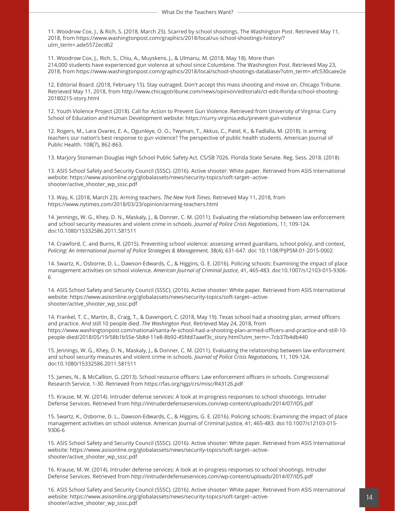11. Woodrow Cox, J., & Rich, S. (2018, March 25). Scarred by school shootings. The Washington Post. Retrieved May 11, 2018, from https://www.washingtonpost.com/graphics/2018/local/us-school-shootings-history/? utm\_term=.ade5572ecd62

11. Woodrow Cox, J., Rich, S., Chiu, A., Muyskens, J., & Ulmanu, M. (2018, May 18). More than 214,000 students have experienced gun violence at school since Columbine. The Washington Post. Retrieved May 23, 2018, from https://www.washingtonpost.com/graphics/2018/local/school-shootings-database/?utm\_term=.efc530caee2e

12. Editorial Board. (2018, February 15). Stay outraged. Don't accept this mass shooting and move on. Chicago Tribune. Retrieved May 11, 2018, from http://www.chicagotribune.com/news/opinion/editorials/ct-edit-florida-school-shooting-20180215-story.html

12. Youth Violence Project (2018). Call for Action to Prevent Gun Violence. Retrieved from University of Virginia: Curry School of Education and Human Development website: https://curry.virginia.edu/prevent-gun-violence

12. Rogers, M., Lara Ovares, E. A., Ogunleye, O. O., Twyman, T., Akkus, C., Patel, K., & Fadlalla, M. (2018). Is arming teachers our nation's best response to gun violence? The perspective of public health students. American Journal of Public Health. 108(7), 862-863.

13. Marjory Stoneman Douglas High School Public Safety Act. CS/SB 7026. Florida State Senate. Reg. Sess. 2018. (2018)

13. ASIS School Safety and Security Council (SSSC). (2016). Active shooter: White paper. Retrieved from ASIS International website: https://www.asisonline.org/globalassets/news/security-topics/soft-target--activeshooter/active\_shooter\_wp\_sssc.pdf

13. Way, K. (2018, March 23). Arming teachers. *The New York Times.* Retrieved May 11, 2018, from https://www.nytimes.com/2018/03/23/opinion/arming-teachers.html

14. Jennings, W. G., Khey, D. N., Maskaly, J., & Donner, C. M. (2011). Evaluating the relationship between law enforcement and school security measures and violent crime in schools. *Journal of Police Crisis Negotiations*, 11, 109-124. doi:10.1080/15332586.2011.581511

14. Crawford, C. and Burns, R. (2015). Preventing school violence: assessing armed guardians, school policy, and context, *Policing: An International Journal of Police Strategies & Management,* 38(4), 631-647. doi: 10.1108/PIJPSM-01-2015-0002

14. Swartz, K., Osborne, D. L., Dawson-Edwards, C., & Higgins, G. E. (2016). Policing schools: Examining the impact of place management activities on school violence. *American Journal of Criminal Justice*, 41, 465-483. doi:10.1007/s12103-015-9306- 6

14. ASIS School Safety and Security Council (SSSC). (2016). Active shooter: White paper. Retrieved from ASIS International website: https://www.asisonline.org/globalassets/news/security-topics/soft-target--activeshooter/active\_shooter\_wp\_sssc.pdf

14. Frankel, T. C., Martin, B., Craig, T., & Davenport, C. (2018, May 19). Texas school had a shooting plan, armed officers and practice. And still 10 people died. *The Washington Post*. Retrieved May 24, 2018, from https://www.washingtonpost.com/national/santa-fe-school-had-a-shooting-plan-armed-officers-and-practice-and-still-10 people-died/2018/05/19/58b1b55e-5b8d-11e8-8b92-45fdd7aaef3c\_story.html?utm\_term=.7cb37b4db440

15. Jennings, W. G., Khey, D. N., Maskaly, J., & Donner, C. M. (2011). Evaluating the relationship between law enforcement and school security measures and violent crime in schools. *Journal of Police Crisis Negotiations,* 11, 109-124. doi:10.1080/15332586.2011.581511

15. James, N., & McCallion, G. (2013). School resource officers: Law enforcement officers in schools. Congressional Research Service, 1-30. Retrieved from https://fas.org/sgp/crs/misc/R43126.pdf

15. Krause, M. W. (2014). Intruder defense services: A look at in-progress responses to school shootings. Intruder Defense Services. Retrieved from http://intruderdefenseservices.com/wp-content/uploads/2014/07/IDS.pdf

15. Swartz, K., Osborne, D. L., Dawson-Edwards, C., & Higgins, G. E. (2016). Policing schools: Examining the impact of place management activities on school violence. American Journal of Criminal Justice, 41, 465-483. doi:10.1007/s12103-015- 9306-6

15. ASIS School Safety and Security Council (SSSC). (2016). Active shooter: White paper. Retrieved from ASIS International website: https://www.asisonline.org/globalassets/news/security-topics/soft-target--activeshooter/active\_shooter\_wp\_sssc.pdf

16. Krause, M. W. (2014). Intruder defense services: A look at in-progress responses to school shootings. Intruder Defense Services. Retrieved from http://intruderdefenseservices.com/wp-content/uploads/2014/07/IDS.pdf

16. ASIS School Safety and Security Council (SSSC). (2016). Active shooter: White paper. Retrieved from ASIS International website: https://www.asisonline.org/globalassets/news/security-topics/soft-target--activeshooter/active\_shooter\_wp\_sssc.pdf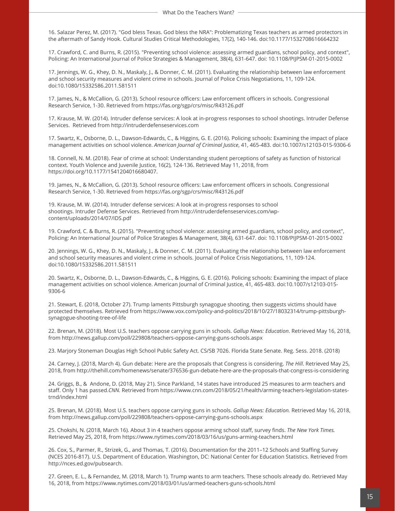16. Salazar Perez, M. (2017). "God bless Texas. God bless the NRA": Problematizing Texas teachers as armed protectors in the aftermath of Sandy Hook. Cultural Studies Critical Methodologies, 17(2), 140-146. doi:10.1177/1532708616664232

17. Crawford, C. and Burns, R. (2015). "Preventing school violence: assessing armed guardians, school policy, and context", Policing: An International Journal of Police Strategies & Management, 38(4), 631-647. doi: 10.1108/PIJPSM-01-2015-0002

17. Jennings, W. G., Khey, D. N., Maskaly, J., & Donner, C. M. (2011). Evaluating the relationship between law enforcement and school security measures and violent crime in schools. Journal of Police Crisis Negotiations, 11, 109-124. doi:10.1080/15332586.2011.581511

17. James, N., & McCallion, G. (2013). School resource officers: Law enforcement officers in schools. Congressional Research Service, 1-30. Retrieved from https://fas.org/sgp/crs/misc/R43126.pdf

17. Krause, M. W. (2014). Intruder defense services: A look at in-progress responses to school shootings. Intruder Defense Services. Retrieved from http://intruderdefenseservices.com

17. Swartz, K., Osborne, D. L., Dawson-Edwards, C., & Higgins, G. E. (2016). Policing schools: Examining the impact of place management activities on school violence. *American Journal of Criminal Justice*, 41, 465-483. doi:10.1007/s12103-015-9306-6

18. Connell, N. M. (2018). Fear of crime at school: Understanding student perceptions of safety as function of historical context. Youth Violence and Juvenile Justice, 16(2), 124-136. Retrieved May 11, 2018, from https://doi.org/10.1177/1541204016680407.

19. James, N., & McCallion, G. (2013). School resource officers: Law enforcement officers in schools. Congressional Research Service, 1-30. Retrieved from https://fas.org/sgp/crs/misc/R43126.pdf

19. Krause, M. W. (2014). Intruder defense services: A look at in-progress responses to school shootings. Intruder Defense Services. Retrieved from http://intruderdefenseservices.com/wpcontent/uploads/2014/07/IDS.pdf

19. Crawford, C. & Burns, R. (2015). "Preventing school violence: assessing armed guardians, school policy, and context", Policing: An International Journal of Police Strategies & Management, 38(4), 631-647. doi: 10.1108/PIJPSM-01-2015-0002

20. Jennings, W. G., Khey, D. N., Maskaly, J., & Donner, C. M. (2011). Evaluating the relationship between law enforcement and school security measures and violent crime in schools. Journal of Police Crisis Negotiations, 11, 109-124. doi:10.1080/15332586.2011.581511

20. Swartz, K., Osborne, D. L., Dawson-Edwards, C., & Higgins, G. E. (2016). Policing schools: Examining the impact of place management activities on school violence. American Journal of Criminal Justice, 41, 465-483. doi:10.1007/s12103-015-9306-6

21. Stewart, E. (2018, October 27). Trump laments Pittsburgh synagogue shooting, then suggests victims should have protected themselves. Retrieved from https://www.vox.com/policy-and-politics/2018/10/27/18032314/trump-pittsburghsynagogue-shooting-tree-of-life

22. Brenan, M. (2018). Most U.S. teachers oppose carrying guns in schools. *Gallup News: Education*. Retrieved May 16, 2018, from http://news.gallup.com/poll/229808/teachers-oppose-carrying-guns-schools.aspx

23. Marjory Stoneman Douglas High School Public Safety Act. CS/SB 7026. Florida State Senate. Reg. Sess. 2018. (2018)

24. Carney, J. (2018, March 4). Gun debate: Here are the proposals that Congress is considering. *The Hill*. Retrieved May 25, 2018, from http://thehill.com/homenews/senate/376536-gun-debate-here-are-the-proposals-that-congress-is-considering

24. Griggs, B., & Andone, D. (2018, May 21). Since Parkland, 14 states have introduced 25 measures to arm teachers and staff. Only 1 has passed.*CNN.* Retrieved from https://www.cnn.com/2018/05/21/health/arming-teachers-legislation-statestrnd/index.html

25. Brenan, M. (2018). Most U.S. teachers oppose carrying guns in schools. *Gallup News: Education.* Retrieved May 16, 2018, from http://news.gallup.com/poll/229808/teachers-oppose-carrying-guns-schools.aspx

25. Chokshi, N. (2018, March 16). About 3 in 4 teachers oppose arming school staff, survey finds. *The New York Times.*  Retrieved May 25, 2018, from https://www.nytimes.com/2018/03/16/us/guns-arming-teachers.html

26. Cox, S., Parmer, R., Strizek, G., and Thomas, T. (2016). Documentation for the 2011–12 Schools and Staffing Survey (NCES 2016-817). U.S. Department of Education. Washington, DC: National Center for Education Statistics. Retrieved from http://nces.ed.gov/pubsearch.

27. Green, E. L., & Fernandez, M. (2018, March 1). Trump wants to arm teachers. These schools already do. Retrieved May 16, 2018, from https://www.nytimes.com/2018/03/01/us/armed-teachers-guns-schools.html